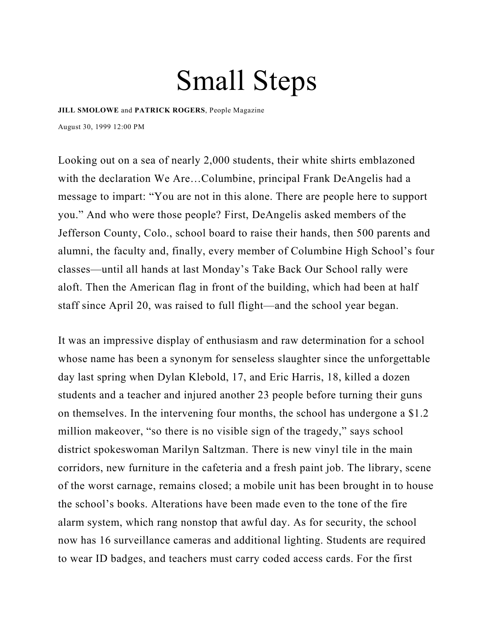# Small Steps

**[JILL SMOLOWE](https://people.com/author/jill-smolowe/)** and **[PATRICK ROGERS](https://people.com/author/patrick-rogers/)**, People Magazine August 30, 1999 12:00 PM

Looking out on a sea of nearly 2,000 students, their white shirts emblazoned with the declaration We Are…Columbine, principal Frank DeAngelis had a message to impart: "You are not in this alone. There are people here to support you." And who were those people? First, DeAngelis asked members of the Jefferson County, Colo., school board to raise their hands, then 500 parents and alumni, the faculty and, finally, every member of Columbine High School's four classes—until all hands at last Monday's Take Back Our School rally were aloft. Then the American flag in front of the building, which had been at half staff since April 20, was raised to full flight—and the school year began.

It was an impressive display of enthusiasm and raw determination for a school whose name has been a synonym for senseless slaughter since the unforgettable day last spring when Dylan Klebold, 17, and Eric Harris, 18, killed a dozen students and a teacher and injured another 23 people before turning their guns on themselves. In the intervening four months, the school has undergone a \$1.2 million makeover, "so there is no visible sign of the tragedy," says school district spokeswoman Marilyn Saltzman. There is new vinyl tile in the main corridors, new furniture in the cafeteria and a fresh paint job. The library, scene of the worst carnage, remains closed; a mobile unit has been brought in to house the school's books. Alterations have been made even to the tone of the fire alarm system, which rang nonstop that awful day. As for security, the school now has 16 surveillance cameras and additional lighting. Students are required to wear ID badges, and teachers must carry coded access cards. For the first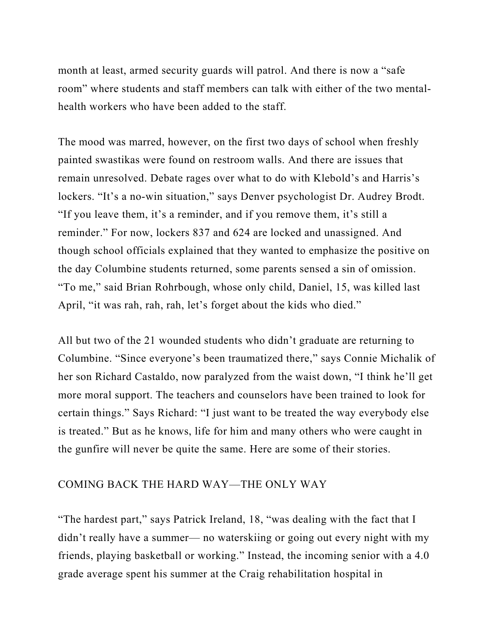month at least, armed security guards will patrol. And there is now a "safe room" where students and staff members can talk with either of the two mentalhealth workers who have been added to the staff.

The mood was marred, however, on the first two days of school when freshly painted swastikas were found on restroom walls. And there are issues that remain unresolved. Debate rages over what to do with Klebold's and Harris's lockers. "It's a no-win situation," says Denver psychologist Dr. Audrey Brodt. "If you leave them, it's a reminder, and if you remove them, it's still a reminder." For now, lockers 837 and 624 are locked and unassigned. And though school officials explained that they wanted to emphasize the positive on the day Columbine students returned, some parents sensed a sin of omission. "To me," said Brian Rohrbough, whose only child, Daniel, 15, was killed last April, "it was rah, rah, rah, let's forget about the kids who died."

All but two of the 21 wounded students who didn't graduate are returning to Columbine. "Since everyone's been traumatized there," says Connie Michalik of her son Richard Castaldo, now paralyzed from the waist down, "I think he'll get more moral support. The teachers and counselors have been trained to look for certain things." Says Richard: "I just want to be treated the way everybody else is treated." But as he knows, life for him and many others who were caught in the gunfire will never be quite the same. Here are some of their stories.

#### COMING BACK THE HARD WAY—THE ONLY WAY

"The hardest part," says Patrick Ireland, 18, "was dealing with the fact that I didn't really have a summer— no waterskiing or going out every night with my friends, playing basketball or working." Instead, the incoming senior with a 4.0 grade average spent his summer at the Craig rehabilitation hospital in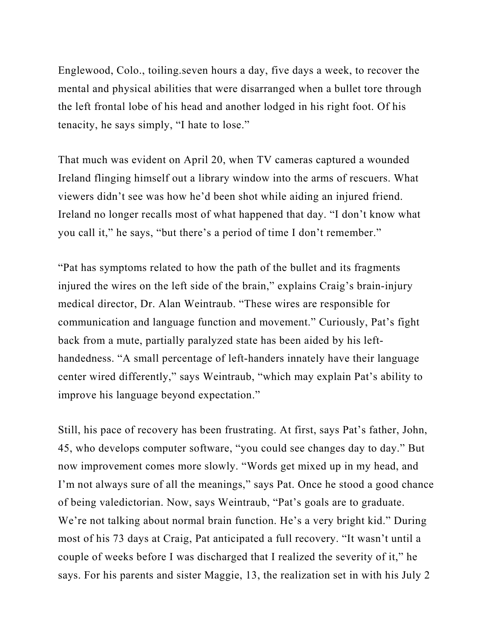Englewood, Colo., toiling.seven hours a day, five days a week, to recover the mental and physical abilities that were disarranged when a bullet tore through the left frontal lobe of his head and another lodged in his right foot. Of his tenacity, he says simply, "I hate to lose."

That much was evident on April 20, when TV cameras captured a wounded Ireland flinging himself out a library window into the arms of rescuers. What viewers didn't see was how he'd been shot while aiding an injured friend. Ireland no longer recalls most of what happened that day. "I don't know what you call it," he says, "but there's a period of time I don't remember."

"Pat has symptoms related to how the path of the bullet and its fragments injured the wires on the left side of the brain," explains Craig's brain-injury medical director, Dr. Alan Weintraub. "These wires are responsible for communication and language function and movement." Curiously, Pat's fight back from a mute, partially paralyzed state has been aided by his lefthandedness. "A small percentage of left-handers innately have their language center wired differently," says Weintraub, "which may explain Pat's ability to improve his language beyond expectation."

Still, his pace of recovery has been frustrating. At first, says Pat's father, John, 45, who develops computer software, "you could see changes day to day." But now improvement comes more slowly. "Words get mixed up in my head, and I'm not always sure of all the meanings," says Pat. Once he stood a good chance of being valedictorian. Now, says Weintraub, "Pat's goals are to graduate. We're not talking about normal brain function. He's a very bright kid." During most of his 73 days at Craig, Pat anticipated a full recovery. "It wasn't until a couple of weeks before I was discharged that I realized the severity of it," he says. For his parents and sister Maggie, 13, the realization set in with his July 2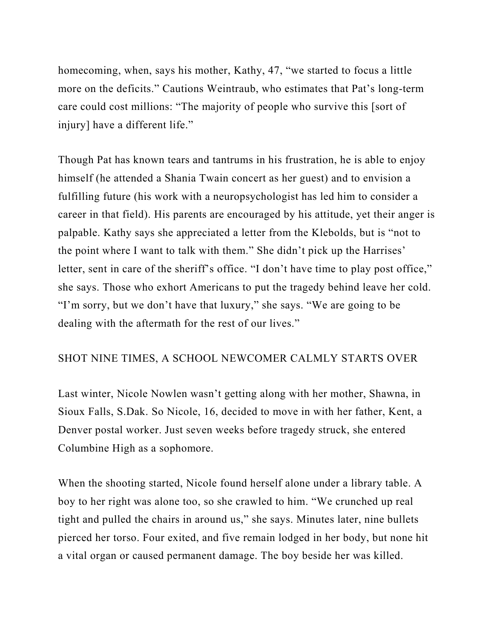homecoming, when, says his mother, Kathy, 47, "we started to focus a little more on the deficits." Cautions Weintraub, who estimates that Pat's long-term care could cost millions: "The majority of people who survive this [sort of injury] have a different life."

Though Pat has known tears and tantrums in his frustration, he is able to enjoy himself (he attended a Shania Twain concert as her guest) and to envision a fulfilling future (his work with a neuropsychologist has led him to consider a career in that field). His parents are encouraged by his attitude, yet their anger is palpable. Kathy says she appreciated a letter from the Klebolds, but is "not to the point where I want to talk with them." She didn't pick up the Harrises' letter, sent in care of the sheriff's office. "I don't have time to play post office," she says. Those who exhort Americans to put the tragedy behind leave her cold. "I'm sorry, but we don't have that luxury," she says. "We are going to be dealing with the aftermath for the rest of our lives."

# SHOT NINE TIMES, A SCHOOL NEWCOMER CALMLY STARTS OVER

Last winter, Nicole Nowlen wasn't getting along with her mother, Shawna, in Sioux Falls, S.Dak. So Nicole, 16, decided to move in with her father, Kent, a Denver postal worker. Just seven weeks before tragedy struck, she entered Columbine High as a sophomore.

When the shooting started, Nicole found herself alone under a library table. A boy to her right was alone too, so she crawled to him. "We crunched up real tight and pulled the chairs in around us," she says. Minutes later, nine bullets pierced her torso. Four exited, and five remain lodged in her body, but none hit a vital organ or caused permanent damage. The boy beside her was killed.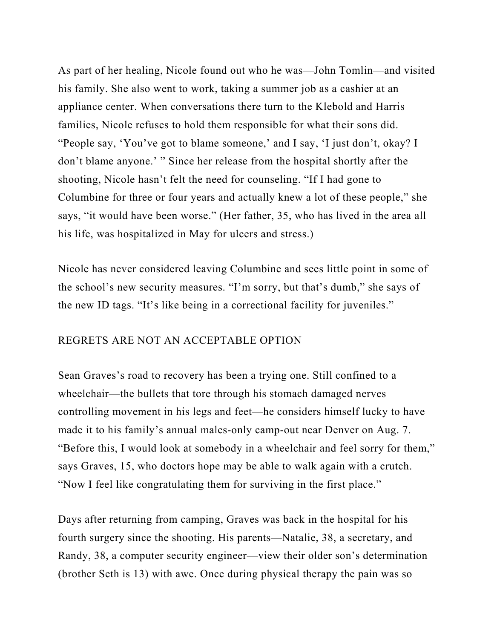As part of her healing, Nicole found out who he was—John Tomlin—and visited his family. She also went to work, taking a summer job as a cashier at an appliance center. When conversations there turn to the Klebold and Harris families, Nicole refuses to hold them responsible for what their sons did. "People say, 'You've got to blame someone,' and I say, 'I just don't, okay? I don't blame anyone.' " Since her release from the hospital shortly after the shooting, Nicole hasn't felt the need for counseling. "If I had gone to Columbine for three or four years and actually knew a lot of these people," she says, "it would have been worse." (Her father, 35, who has lived in the area all his life, was hospitalized in May for ulcers and stress.)

Nicole has never considered leaving Columbine and sees little point in some of the school's new security measures. "I'm sorry, but that's dumb," she says of the new ID tags. "It's like being in a correctional facility for juveniles."

#### REGRETS ARE NOT AN ACCEPTABLE OPTION

Sean Graves's road to recovery has been a trying one. Still confined to a wheelchair—the bullets that tore through his stomach damaged nerves controlling movement in his legs and feet—he considers himself lucky to have made it to his family's annual males-only camp-out near Denver on Aug. 7. "Before this, I would look at somebody in a wheelchair and feel sorry for them," says Graves, 15, who doctors hope may be able to walk again with a crutch. "Now I feel like congratulating them for surviving in the first place."

Days after returning from camping, Graves was back in the hospital for his fourth surgery since the shooting. His parents—Natalie, 38, a secretary, and Randy, 38, a computer security engineer—view their older son's determination (brother Seth is 13) with awe. Once during physical therapy the pain was so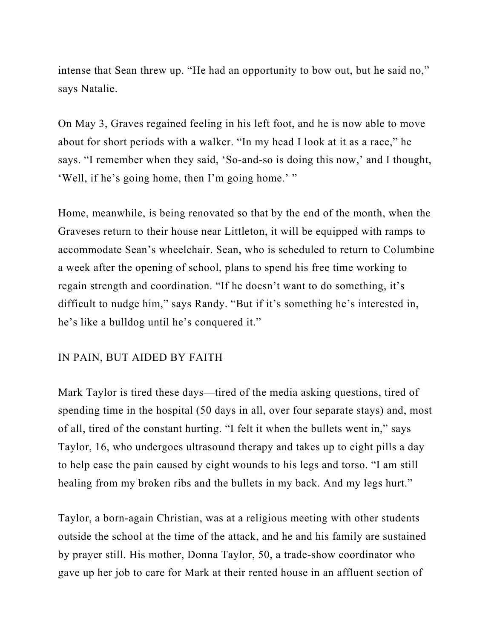intense that Sean threw up. "He had an opportunity to bow out, but he said no," says Natalie.

On May 3, Graves regained feeling in his left foot, and he is now able to move about for short periods with a walker. "In my head I look at it as a race," he says. "I remember when they said, 'So-and-so is doing this now,' and I thought, 'Well, if he's going home, then I'm going home.' "

Home, meanwhile, is being renovated so that by the end of the month, when the Graveses return to their house near Littleton, it will be equipped with ramps to accommodate Sean's wheelchair. Sean, who is scheduled to return to Columbine a week after the opening of school, plans to spend his free time working to regain strength and coordination. "If he doesn't want to do something, it's difficult to nudge him," says Randy. "But if it's something he's interested in, he's like a bulldog until he's conquered it."

#### IN PAIN, BUT AIDED BY FAITH

Mark Taylor is tired these days—tired of the media asking questions, tired of spending time in the hospital (50 days in all, over four separate stays) and, most of all, tired of the constant hurting. "I felt it when the bullets went in," says Taylor, 16, who undergoes ultrasound therapy and takes up to eight pills a day to help ease the pain caused by eight wounds to his legs and torso. "I am still healing from my broken ribs and the bullets in my back. And my legs hurt."

Taylor, a born-again Christian, was at a religious meeting with other students outside the school at the time of the attack, and he and his family are sustained by prayer still. His mother, Donna Taylor, 50, a trade-show coordinator who gave up her job to care for Mark at their rented house in an affluent section of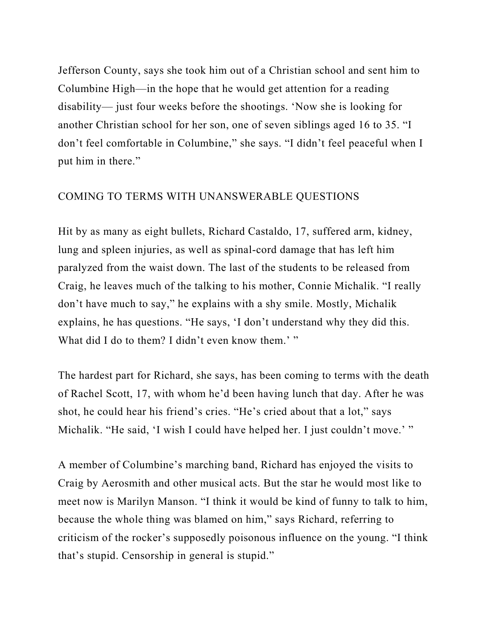Jefferson County, says she took him out of a Christian school and sent him to Columbine High—in the hope that he would get attention for a reading disability— just four weeks before the shootings. 'Now she is looking for another Christian school for her son, one of seven siblings aged 16 to 35. "I don't feel comfortable in Columbine," she says. "I didn't feel peaceful when I put him in there."

## COMING TO TERMS WITH UNANSWERABLE QUESTIONS

Hit by as many as eight bullets, Richard Castaldo, 17, suffered arm, kidney, lung and spleen injuries, as well as spinal-cord damage that has left him paralyzed from the waist down. The last of the students to be released from Craig, he leaves much of the talking to his mother, Connie Michalik. "I really don't have much to say," he explains with a shy smile. Mostly, Michalik explains, he has questions. "He says, 'I don't understand why they did this. What did I do to them? I didn't even know them.' "

The hardest part for Richard, she says, has been coming to terms with the death of Rachel Scott, 17, with whom he'd been having lunch that day. After he was shot, he could hear his friend's cries. "He's cried about that a lot," says Michalik. "He said, 'I wish I could have helped her. I just couldn't move.' "

A member of Columbine's marching band, Richard has enjoyed the visits to Craig by Aerosmith and other musical acts. But the star he would most like to meet now is Marilyn Manson. "I think it would be kind of funny to talk to him, because the whole thing was blamed on him," says Richard, referring to criticism of the rocker's supposedly poisonous influence on the young. "I think that's stupid. Censorship in general is stupid."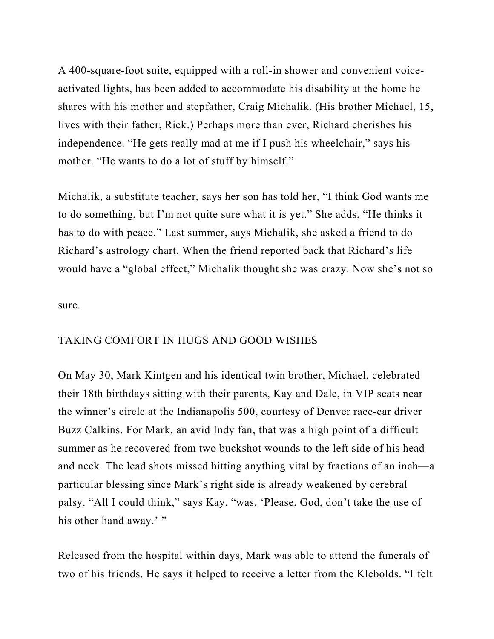A 400-square-foot suite, equipped with a roll-in shower and convenient voiceactivated lights, has been added to accommodate his disability at the home he shares with his mother and stepfather, Craig Michalik. (His brother Michael, 15, lives with their father, Rick.) Perhaps more than ever, Richard cherishes his independence. "He gets really mad at me if I push his wheelchair," says his mother. "He wants to do a lot of stuff by himself."

Michalik, a substitute teacher, says her son has told her, "I think God wants me to do something, but I'm not quite sure what it is yet." She adds, "He thinks it has to do with peace." Last summer, says Michalik, she asked a friend to do Richard's astrology chart. When the friend reported back that Richard's life would have a "global effect," Michalik thought she was crazy. Now she's not so

sure.

## TAKING COMFORT IN HUGS AND GOOD WISHES

On May 30, Mark Kintgen and his identical twin brother, Michael, celebrated their 18th birthdays sitting with their parents, Kay and Dale, in VIP seats near the winner's circle at the Indianapolis 500, courtesy of Denver race-car driver Buzz Calkins. For Mark, an avid Indy fan, that was a high point of a difficult summer as he recovered from two buckshot wounds to the left side of his head and neck. The lead shots missed hitting anything vital by fractions of an inch—a particular blessing since Mark's right side is already weakened by cerebral palsy. "All I could think," says Kay, "was, 'Please, God, don't take the use of his other hand away.'"

Released from the hospital within days, Mark was able to attend the funerals of two of his friends. He says it helped to receive a letter from the Klebolds. "I felt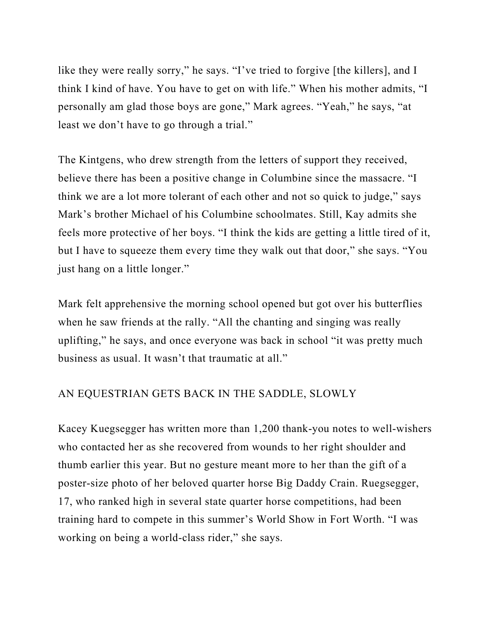like they were really sorry," he says. "I've tried to forgive [the killers], and I think I kind of have. You have to get on with life." When his mother admits, "I personally am glad those boys are gone," Mark agrees. "Yeah," he says, "at least we don't have to go through a trial."

The Kintgens, who drew strength from the letters of support they received, believe there has been a positive change in Columbine since the massacre. "I think we are a lot more tolerant of each other and not so quick to judge," says Mark's brother Michael of his Columbine schoolmates. Still, Kay admits she feels more protective of her boys. "I think the kids are getting a little tired of it, but I have to squeeze them every time they walk out that door," she says. "You just hang on a little longer."

Mark felt apprehensive the morning school opened but got over his butterflies when he saw friends at the rally. "All the chanting and singing was really uplifting," he says, and once everyone was back in school "it was pretty much business as usual. It wasn't that traumatic at all."

## AN EQUESTRIAN GETS BACK IN THE SADDLE, SLOWLY

Kacey Kuegsegger has written more than 1,200 thank-you notes to well-wishers who contacted her as she recovered from wounds to her right shoulder and thumb earlier this year. But no gesture meant more to her than the gift of a poster-size photo of her beloved quarter horse Big Daddy Crain. Ruegsegger, 17, who ranked high in several state quarter horse competitions, had been training hard to compete in this summer's World Show in Fort Worth. "I was working on being a world-class rider," she says.